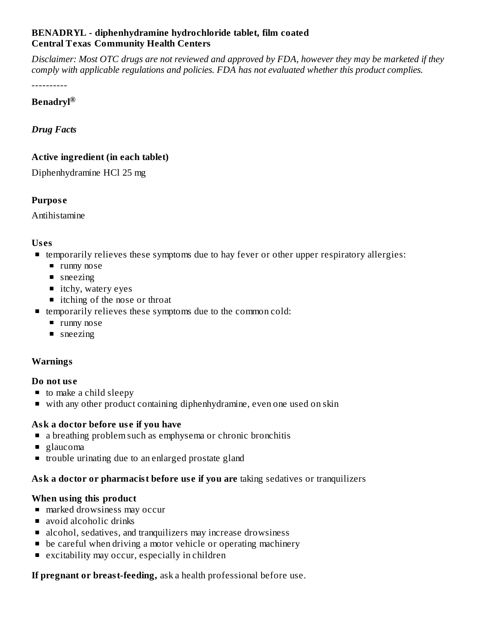### **BENADRYL - diphenhydramine hydrochloride tablet, film coated Central Texas Community Health Centers**

Disclaimer: Most OTC drugs are not reviewed and approved by FDA, however they may be marketed if they *comply with applicable regulations and policies. FDA has not evaluated whether this product complies.*

----------

### **Benadryl ®**

*Drug Facts*

## **Active ingredient (in each tablet)**

Diphenhydramine HCl 25 mg

## **Purpos e**

Antihistamine

## **Us es**

- temporarily relieves these symptoms due to hay fever or other upper respiratory allergies:
	- **runny nose**
	- sneezing
	- itchy, watery eyes
	- itching of the nose or throat
- **Example 1** temporarily relieves these symptoms due to the common cold:
	- **runny nose**
	- **sneezing**

# **Warnings**

### **Do not us e**

- to make a child sleepy
- with any other product containing diphenhydramine, even one used on skin

## **Ask a doctor before us e if you have**

- a breathing problem such as emphysema or chronic bronchitis
- glaucoma
- **that** trouble urinating due to an enlarged prostate gland

## **Ask a doctor or pharmacist before us e if you are** taking sedatives or tranquilizers

## **When using this product**

- **marked drowsiness may occur**
- avoid alcoholic drinks
- alcohol, sedatives, and tranquilizers may increase drowsiness
- **•** be careful when driving a motor vehicle or operating machinery
- excitability may occur, especially in children

**If pregnant or breast-feeding,** ask a health professional before use.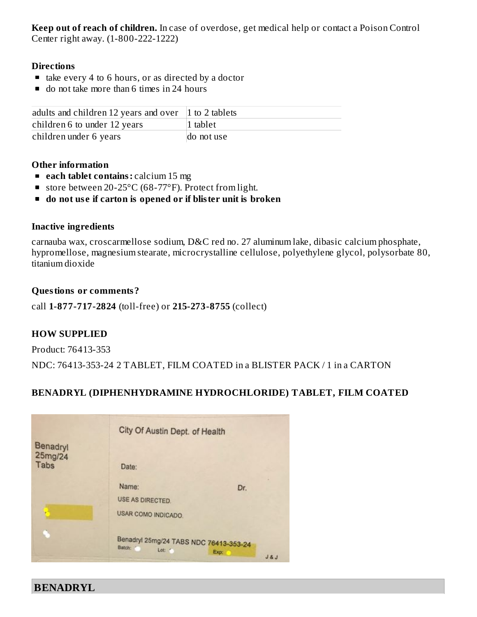**Keep out of reach of children.** In case of overdose, get medical help or contact a Poison Control Center right away. (1-800-222-1222)

#### **Directions**

- $\blacksquare$  take every 4 to 6 hours, or as directed by a doctor
- do not take more than 6 times in 24 hours

| adults and children 12 years and over $\vert$ 1 to 2 tablets |                  |
|--------------------------------------------------------------|------------------|
| children 6 to under 12 years                                 | $\vert$ 1 tablet |
| children under 6 years                                       | do not use       |

#### **Other information**

- **each tablet contains:** calcium 15 mg
- store between 20-25°C (68-77°F). Protect from light.
- **do not us e if carton is opened or if blister unit is broken**

#### **Inactive ingredients**

carnauba wax, croscarmellose sodium, D&C red no. 27 aluminum lake, dibasic calcium phosphate, hypromellose, magnesium stearate, microcrystalline cellulose, polyethylene glycol, polysorbate 80, titanium dioxide

#### **Questions or comments?**

call **1-877-717-2824** (toll-free) or **215-273-8755** (collect)

### **HOW SUPPLIED**

Product: 76413-353

NDC: 76413-353-24 2 TABLET, FILM COATED in a BLISTER PACK / 1 in a CARTON

## **BENADRYL (DIPHENHYDRAMINE HYDROCHLORIDE) TABLET, FILM COATED**

| Benadryl        | City Of Austin Dept. of Health                              |               |
|-----------------|-------------------------------------------------------------|---------------|
| 25mg/24<br>Tabs | Date:                                                       |               |
|                 | Name:<br><b>USE AS DIRECTED.</b>                            | Dr.           |
|                 | USAR COMO INDICADO.                                         |               |
|                 | Benadryl 25mg/24 TABS NDC 76413-353-24<br>Batch:<br>Lot: 18 | Exp:<br>J & J |

**BENADRYL**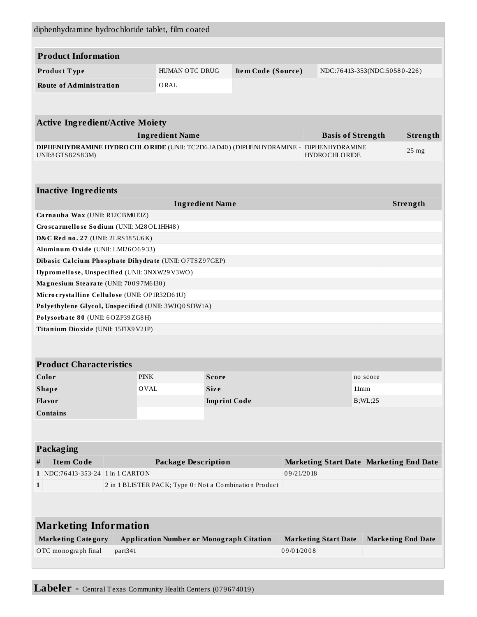| diphenhydramine hydrochloride tablet, film coated                                                                                |                                          |             |                                                 |                     |                    |                              |                  |          |                           |          |  |
|----------------------------------------------------------------------------------------------------------------------------------|------------------------------------------|-------------|-------------------------------------------------|---------------------|--------------------|------------------------------|------------------|----------|---------------------------|----------|--|
|                                                                                                                                  |                                          |             |                                                 |                     |                    |                              |                  |          |                           |          |  |
| <b>Product Information</b>                                                                                                       |                                          |             |                                                 |                     |                    |                              |                  |          |                           |          |  |
| Product Type                                                                                                                     |                                          |             | HUMAN OTC DRUG                                  |                     | Item Code (Source) | NDC:76413-353(NDC:50580-226) |                  |          |                           |          |  |
| <b>Route of Administration</b>                                                                                                   |                                          | ORAL        |                                                 |                     |                    |                              |                  |          |                           |          |  |
|                                                                                                                                  |                                          |             |                                                 |                     |                    |                              |                  |          |                           |          |  |
| <b>Active Ingredient/Active Moiety</b>                                                                                           |                                          |             |                                                 |                     |                    |                              |                  |          |                           |          |  |
| <b>Ingredient Name</b><br><b>Basis of Strength</b>                                                                               |                                          |             |                                                 |                     |                    |                              |                  | Strength |                           |          |  |
| DIPHENHYDRAMINE HYDRO CHLORIDE (UNII: TC2D6JAD40) (DIPHENHYDRAMINE - DIPHENHYDRAMINE<br><b>HYDROCHLORIDE</b><br>UNII:8GTS82S83M) |                                          |             |                                                 |                     |                    |                              | 25 <sub>mg</sub> |          |                           |          |  |
|                                                                                                                                  |                                          |             |                                                 |                     |                    |                              |                  |          |                           |          |  |
| <b>Inactive Ingredients</b>                                                                                                      |                                          |             |                                                 |                     |                    |                              |                  |          |                           |          |  |
|                                                                                                                                  |                                          |             | <b>Ingredient Name</b>                          |                     |                    |                              |                  |          |                           | Strength |  |
| Carnauba Wax (UNII: R12CBM0EIZ)                                                                                                  |                                          |             |                                                 |                     |                    |                              |                  |          |                           |          |  |
|                                                                                                                                  | Croscarmellose Sodium (UNII: M28OL1HH48) |             |                                                 |                     |                    |                              |                  |          |                           |          |  |
| D&C Red no. 27 (UNII: 2LRS 185U6K)                                                                                               |                                          |             |                                                 |                     |                    |                              |                  |          |                           |          |  |
| Aluminum Oxide (UNII: LMI26O6933)                                                                                                |                                          |             |                                                 |                     |                    |                              |                  |          |                           |          |  |
| Dibasic Calcium Phosphate Dihydrate (UNII: O7TSZ97GEP)<br>Hypromellose, Unspecified (UNII: 3NXW29V3WO)                           |                                          |             |                                                 |                     |                    |                              |                  |          |                           |          |  |
| Magnesium Stearate (UNII: 70097M6I30)                                                                                            |                                          |             |                                                 |                     |                    |                              |                  |          |                           |          |  |
| Microcrystalline Cellulose (UNII: OP1R32D61U)                                                                                    |                                          |             |                                                 |                     |                    |                              |                  |          |                           |          |  |
| Polyethylene Glycol, Unspecified (UNII: 3WJQ0SDW1A)                                                                              |                                          |             |                                                 |                     |                    |                              |                  |          |                           |          |  |
| Polysorbate 80 (UNII: 6OZP39ZG8H)                                                                                                |                                          |             |                                                 |                     |                    |                              |                  |          |                           |          |  |
| Titanium Dioxide (UNII: 15FIX9V2JP)                                                                                              |                                          |             |                                                 |                     |                    |                              |                  |          |                           |          |  |
|                                                                                                                                  |                                          |             |                                                 |                     |                    |                              |                  |          |                           |          |  |
|                                                                                                                                  |                                          |             |                                                 |                     |                    |                              |                  |          |                           |          |  |
| <b>Product Characteristics</b>                                                                                                   |                                          |             |                                                 |                     |                    |                              |                  |          |                           |          |  |
| Color                                                                                                                            |                                          | <b>PINK</b> |                                                 | <b>Score</b>        |                    |                              |                  |          | no score                  |          |  |
| <b>Shape</b>                                                                                                                     |                                          | OVAL        |                                                 | Size                |                    |                              |                  | 11mm     |                           |          |  |
| Flavor                                                                                                                           |                                          |             |                                                 | <b>Imprint Code</b> | B; WL;25           |                              |                  |          |                           |          |  |
| <b>Contains</b>                                                                                                                  |                                          |             |                                                 |                     |                    |                              |                  |          |                           |          |  |
|                                                                                                                                  |                                          |             |                                                 |                     |                    |                              |                  |          |                           |          |  |
| Packaging                                                                                                                        |                                          |             |                                                 |                     |                    |                              |                  |          |                           |          |  |
| <b>Item Code</b><br><b>Package Description</b><br>Marketing Start Date Marketing End Date<br>#                                   |                                          |             |                                                 |                     |                    |                              |                  |          |                           |          |  |
| 1 NDC:76413-353-24 1 in 1 CARTON<br>09/21/2018                                                                                   |                                          |             |                                                 |                     |                    |                              |                  |          |                           |          |  |
| $\mathbf{1}$<br>2 in 1 BLISTER PACK; Type 0: Not a Combination Product                                                           |                                          |             |                                                 |                     |                    |                              |                  |          |                           |          |  |
|                                                                                                                                  |                                          |             |                                                 |                     |                    |                              |                  |          |                           |          |  |
| <b>Marketing Information</b>                                                                                                     |                                          |             |                                                 |                     |                    |                              |                  |          |                           |          |  |
| <b>Marketing Category</b>                                                                                                        |                                          |             | <b>Application Number or Monograph Citation</b> |                     |                    | <b>Marketing Start Date</b>  |                  |          | <b>Marketing End Date</b> |          |  |
| OTC monograph final                                                                                                              | part341                                  |             |                                                 |                     |                    | 09/01/2008                   |                  |          |                           |          |  |
|                                                                                                                                  |                                          |             |                                                 |                     |                    |                              |                  |          |                           |          |  |